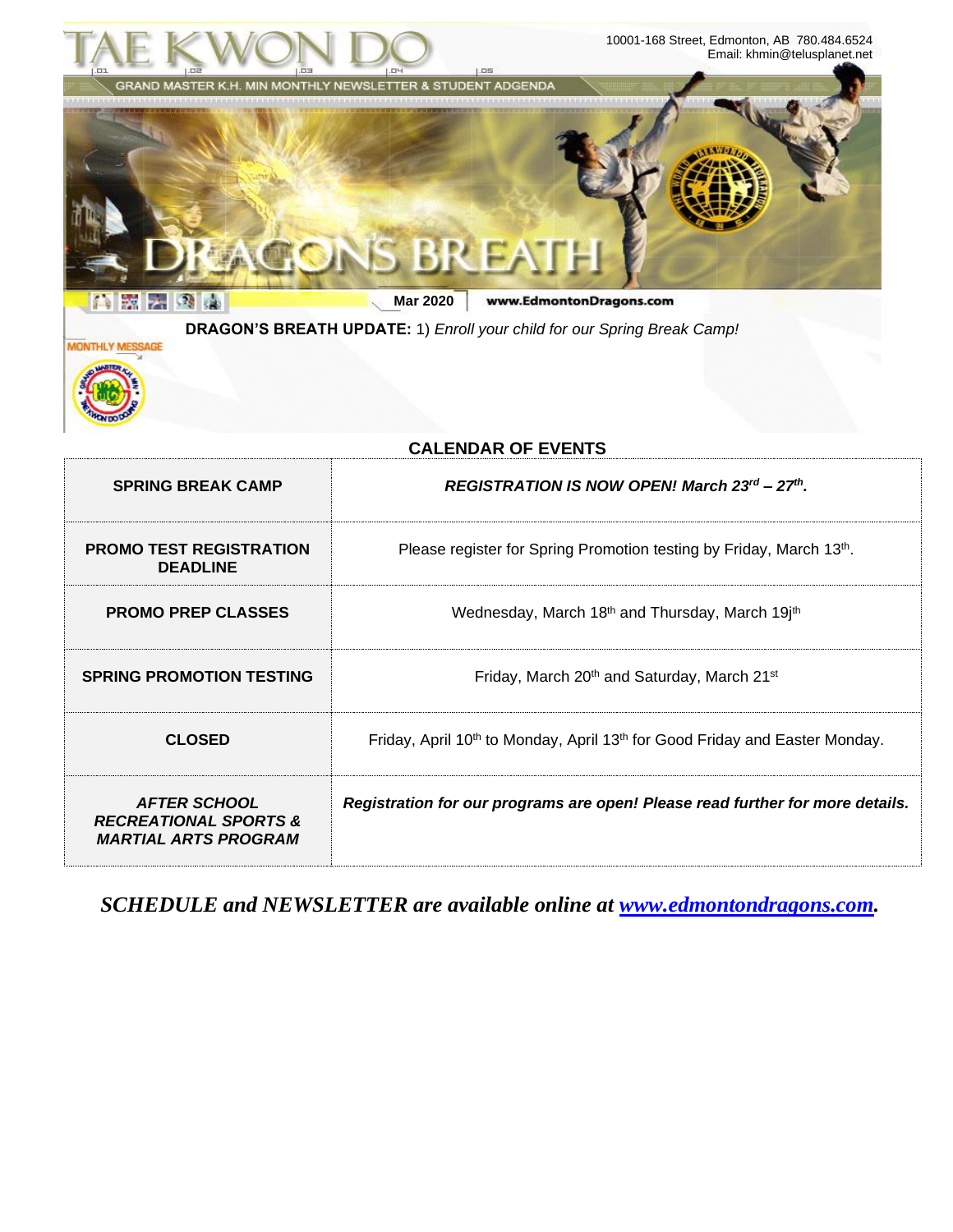

**CLOSED** Friday, April 10<sup>th</sup> to Monday, April 13<sup>th</sup> for Good Friday and Easter Monday. *AFTER SCHOOL Registration for our programs are open! Please read further for more details.* 

*RECREATIONAL SPORTS & MARTIAL ARTS PROGRAM*

*SCHEDULE and NEWSLETTER are available online at [www.edmontondragons.com.](http://www.edmontondragons.com/)*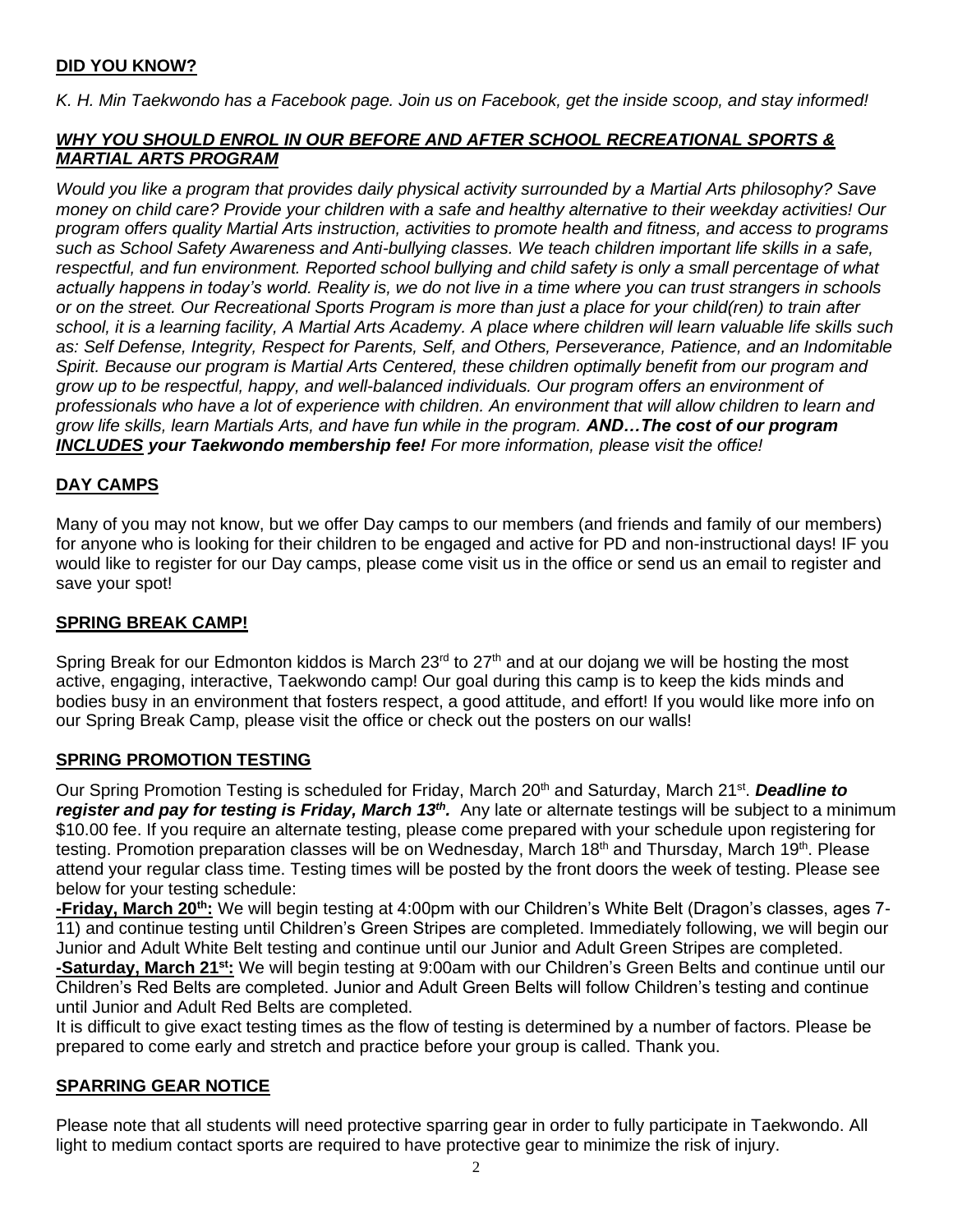# **DID YOU KNOW?**

*K. H. Min Taekwondo has a Facebook page. Join us on Facebook, get the inside scoop, and stay informed!* 

# *WHY YOU SHOULD ENROL IN OUR BEFORE AND AFTER SCHOOL RECREATIONAL SPORTS & MARTIAL ARTS PROGRAM*

*Would you like a program that provides daily physical activity surrounded by a Martial Arts philosophy? Save money on child care? Provide your children with a safe and healthy alternative to their weekday activities! Our program offers quality Martial Arts instruction, activities to promote health and fitness, and access to programs such as School Safety Awareness and Anti-bullying classes. We teach children important life skills in a safe,*  respectful, and fun environment. Reported school bullying and child safety is only a small percentage of what *actually happens in today's world. Reality is, we do not live in a time where you can trust strangers in schools or on the street. Our Recreational Sports Program is more than just a place for your child(ren) to train after school, it is a learning facility, A Martial Arts Academy. A place where children will learn valuable life skills such as: Self Defense, Integrity, Respect for Parents, Self, and Others, Perseverance, Patience, and an Indomitable Spirit. Because our program is Martial Arts Centered, these children optimally benefit from our program and grow up to be respectful, happy, and well-balanced individuals. Our program offers an environment of professionals who have a lot of experience with children. An environment that will allow children to learn and grow life skills, learn Martials Arts, and have fun while in the program. AND…The cost of our program INCLUDES your Taekwondo membership fee! For more information, please visit the office!* 

# **DAY CAMPS**

Many of you may not know, but we offer Day camps to our members (and friends and family of our members) for anyone who is looking for their children to be engaged and active for PD and non-instructional days! IF you would like to register for our Day camps, please come visit us in the office or send us an email to register and save your spot!

# **SPRING BREAK CAMP!**

Spring Break for our Edmonton kiddos is March 23 $<sup>rd</sup>$  to 27<sup>th</sup> and at our dojang we will be hosting the most</sup> active, engaging, interactive, Taekwondo camp! Our goal during this camp is to keep the kids minds and bodies busy in an environment that fosters respect, a good attitude, and effort! If you would like more info on our Spring Break Camp, please visit the office or check out the posters on our walls!

# **SPRING PROMOTION TESTING**

Our Spring Promotion Testing is scheduled for Friday, March 20<sup>th</sup> and Saturday, March 21<sup>st</sup>. **Deadline to** register and pay for testing is Friday, March 13<sup>th</sup>. Any late or alternate testings will be subject to a minimum \$10.00 fee. If you require an alternate testing, please come prepared with your schedule upon registering for testing. Promotion preparation classes will be on Wednesday, March 18<sup>th</sup> and Thursday, March 19<sup>th</sup>. Please attend your regular class time. Testing times will be posted by the front doors the week of testing. Please see below for your testing schedule:

**-Friday, March 20th:** We will begin testing at 4:00pm with our Children's White Belt (Dragon's classes, ages 7- 11) and continue testing until Children's Green Stripes are completed. Immediately following, we will begin our Junior and Adult White Belt testing and continue until our Junior and Adult Green Stripes are completed. **-Saturday, March 21st:** We will begin testing at 9:00am with our Children's Green Belts and continue until our Children's Red Belts are completed. Junior and Adult Green Belts will follow Children's testing and continue until Junior and Adult Red Belts are completed.

It is difficult to give exact testing times as the flow of testing is determined by a number of factors. Please be prepared to come early and stretch and practice before your group is called. Thank you.

# **SPARRING GEAR NOTICE**

Please note that all students will need protective sparring gear in order to fully participate in Taekwondo. All light to medium contact sports are required to have protective gear to minimize the risk of injury.